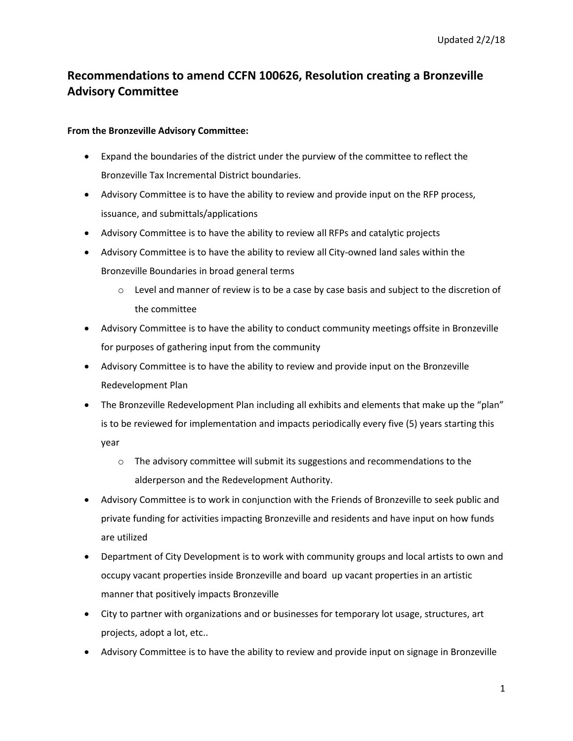## **Recommendations to amend CCFN 100626, Resolution creating a Bronzeville Advisory Committee**

## **From the Bronzeville Advisory Committee:**

- Expand the boundaries of the district under the purview of the committee to reflect the Bronzeville Tax Incremental District boundaries.
- Advisory Committee is to have the ability to review and provide input on the RFP process, issuance, and submittals/applications
- Advisory Committee is to have the ability to review all RFPs and catalytic projects
- Advisory Committee is to have the ability to review all City-owned land sales within the Bronzeville Boundaries in broad general terms
	- $\circ$  Level and manner of review is to be a case by case basis and subject to the discretion of the committee
- Advisory Committee is to have the ability to conduct community meetings offsite in Bronzeville for purposes of gathering input from the community
- Advisory Committee is to have the ability to review and provide input on the Bronzeville Redevelopment Plan
- The Bronzeville Redevelopment Plan including all exhibits and elements that make up the "plan" is to be reviewed for implementation and impacts periodically every five (5) years starting this year
	- $\circ$  The advisory committee will submit its suggestions and recommendations to the alderperson and the Redevelopment Authority.
- Advisory Committee is to work in conjunction with the Friends of Bronzeville to seek public and private funding for activities impacting Bronzeville and residents and have input on how funds are utilized
- Department of City Development is to work with community groups and local artists to own and occupy vacant properties inside Bronzeville and board up vacant properties in an artistic manner that positively impacts Bronzeville
- City to partner with organizations and or businesses for temporary lot usage, structures, art projects, adopt a lot, etc..
- Advisory Committee is to have the ability to review and provide input on signage in Bronzeville